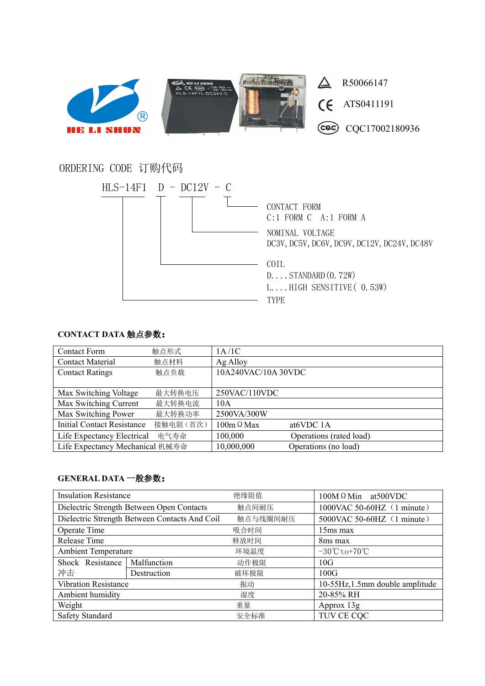

## ORDERING CODE 订购代码



## **CONTACT DATA** 触点参数:

| <b>Contact Form</b>               | 触点形式     | 1A/1C               |                         |
|-----------------------------------|----------|---------------------|-------------------------|
| <b>Contact Material</b>           | 触点材料     | Ag Alloy            |                         |
| <b>Contact Ratings</b>            | 触点负载     | 10A240VAC/10A 30VDC |                         |
|                                   |          |                     |                         |
| Max Switching Voltage             | 最大转换电压   | 250VAC/110VDC       |                         |
| Max Switching Current             | 最大转换电流   | 10A                 |                         |
| Max Switching Power               | 最大转换功率   | 2500VA/300W         |                         |
| <b>Initial Contact Resistance</b> | 接触电阻(首次) | $100m \Omega$ Max   | at <sub>6</sub> VDC 1A  |
| Life Expectancy Electrical        | 电气寿命     | 100,000             | Operations (rated load) |
| Life Expectancy Mechanical 机械寿命   |          | 10,000,000          | Operations (no load)    |

## **GENERAL DATA** 一般参数:

| <b>Insulation Resistance</b>                  |             | 绝缘阻值     | $100M \Omega$ Min at 500 VDC                   |  |
|-----------------------------------------------|-------------|----------|------------------------------------------------|--|
| Dielectric Strength Between Open Contacts     |             | 触点间耐压    | 1000VAC 50-60HZ (1 minute)                     |  |
| Dielectric Strength Between Contacts And Coil |             | 触点与线圈间耐压 | 5000VAC 50-60HZ (1 minute)                     |  |
| Operate Time                                  |             | 吸合时间     | $15ms$ max                                     |  |
| Release Time                                  |             | 释放时间     | 8 <sub>ms</sub> max                            |  |
| <b>Ambient Temperature</b>                    |             | 环境温度     | $-30^{\circ}\text{C}$ to $+70^{\circ}\text{C}$ |  |
| Shock Resistance                              | Malfunction | 动作极限     | 10G                                            |  |
| 冲击                                            | Destruction | 破坏极限     | 100G                                           |  |
| <b>Vibration Resistance</b>                   |             | 振动       | 10-55Hz, 1.5mm double amplitude                |  |
| Ambient humidity                              |             | 湿度       | 20-85% RH                                      |  |
| Weight                                        |             | 重量       | Approx $13g$                                   |  |
| Safety Standard                               |             | 安全标准     | TUV CE CQC                                     |  |